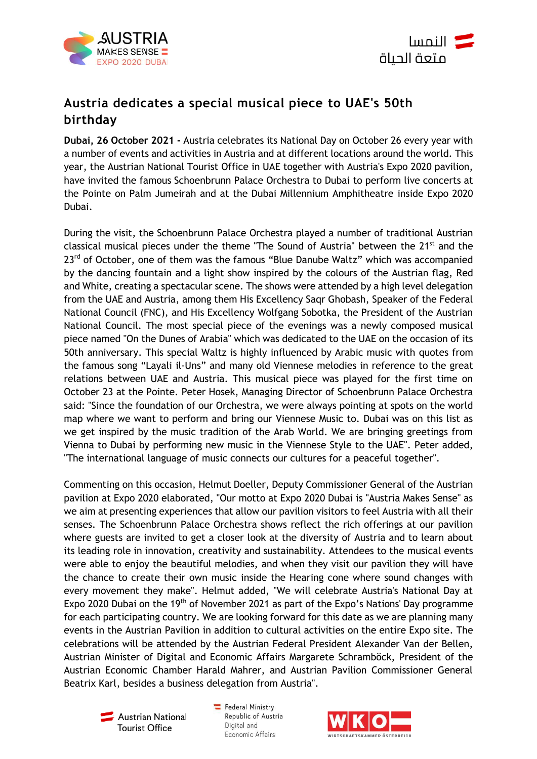



# **Austria dedicates a special musical piece to UAE's 50th birthday**

**Dubai, 26 October 2021 -** Austria celebrates its National Day on October 26 every year with a number of events and activities in Austria and at different locations around the world. This year, the Austrian National Tourist Office in UAE together with Austria's Expo 2020 pavilion, have invited the famous Schoenbrunn Palace Orchestra to Dubai to perform live concerts at the Pointe on Palm Jumeirah and at the Dubai Millennium Amphitheatre inside Expo 2020 Dubai.

During the visit, the Schoenbrunn Palace Orchestra played a number of traditional Austrian classical musical pieces under the theme "The Sound of Austria" between the 21<sup>st</sup> and the 23<sup>rd</sup> of October, one of them was the famous "Blue Danube Waltz" which was accompanied by the dancing fountain and a light show inspired by the colours of the Austrian flag, Red and White, creating a spectacular scene. The shows were attended by a high level delegation from the UAE and Austria, among them His Excellency Saqr Ghobash, Speaker of the Federal National Council (FNC), and His Excellency Wolfgang Sobotka, the President of the Austrian National Council. The most special piece of the evenings was a newly composed musical piece named "On the Dunes of Arabia" which was dedicated to the UAE on the occasion of its 50th anniversary. This special Waltz is highly influenced by Arabic music with quotes from the famous song "Layali il-Uns" and many old Viennese melodies in reference to the great relations between UAE and Austria. This musical piece was played for the first time on October 23 at the Pointe. Peter Hosek, Managing Director of Schoenbrunn Palace Orchestra said: "Since the foundation of our Orchestra, we were always pointing at spots on the world map where we want to perform and bring our Viennese Music to. Dubai was on this list as we get inspired by the music tradition of the Arab World. We are bringing greetings from Vienna to Dubai by performing new music in the Viennese Style to the UAE". Peter added, "The international language of music connects our cultures for a peaceful together".

Commenting on this occasion, Helmut Doeller, Deputy Commissioner General of the Austrian pavilion at Expo 2020 elaborated, "Our motto at Expo 2020 Dubai is "Austria Makes Sense" as we aim at presenting experiences that allow our pavilion visitors to feel Austria with all their senses. The Schoenbrunn Palace Orchestra shows reflect the rich offerings at our pavilion where guests are invited to get a closer look at the diversity of Austria and to learn about its leading role in innovation, creativity and sustainability. Attendees to the musical events were able to enjoy the beautiful melodies, and when they visit our pavilion they will have the chance to create their own music inside the Hearing cone where sound changes with every movement they make". Helmut added, "We will celebrate Austria's National Day at Expo 2020 Dubai on the 19<sup>th</sup> of November 2021 as part of the Expo's Nations' Day programme for each participating country. We are looking forward for this date as we are planning many events in the Austrian Pavilion in addition to cultural activities on the entire Expo site. The celebrations will be attended by the Austrian Federal President Alexander Van der Bellen, Austrian Minister of Digital and Economic Affairs Margarete Schramböck, President of the Austrian Economic Chamber Harald Mahrer, and Austrian Pavilion Commissioner General Beatrix Karl, besides a business delegation from Austria".

Austrian National **Tourist Office** 

Federal Ministry Republic of Austria Digital and Economic Affairs

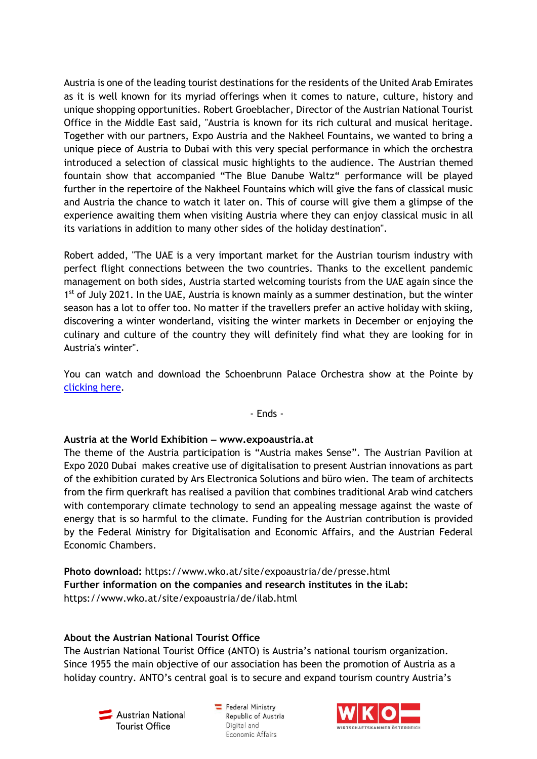Austria is one of the leading tourist destinations for the residents of the United Arab Emirates as it is well known for its myriad offerings when it comes to nature, culture, history and unique shopping opportunities. Robert Groeblacher, Director of the Austrian National Tourist Office in the Middle East said, "Austria is known for its rich cultural and musical heritage. Together with our partners, Expo Austria and the Nakheel Fountains, we wanted to bring a unique piece of Austria to Dubai with this very special performance in which the orchestra introduced a selection of classical music highlights to the audience. The Austrian themed fountain show that accompanied "The Blue Danube Waltz" performance will be played further in the repertoire of the Nakheel Fountains which will give the fans of classical music and Austria the chance to watch it later on. This of course will give them a glimpse of the experience awaiting them when visiting Austria where they can enjoy classical music in all its variations in addition to many other sides of the holiday destination".

Robert added, "The UAE is a very important market for the Austrian tourism industry with perfect flight connections between the two countries. Thanks to the excellent pandemic management on both sides, Austria started welcoming tourists from the UAE again since the 1<sup>st</sup> of July 2021. In the UAE, Austria is known mainly as a summer destination, but the winter season has a lot to offer too. No matter if the travellers prefer an active holiday with skiing, discovering a winter wonderland, visiting the winter markets in December or enjoying the culinary and culture of the country they will definitely find what they are looking for in Austria's winter".

You can watch and download the Schoenbrunn Palace Orchestra show at the Pointe by [clicking here.](https://oew-my.sharepoint.com/:v:/g/personal/lilly_freudmayer_austria_info/ER4KOhMaZSxCmOxp_RyR0-YBUE-9M8jZEVXLJs_GTbA-xQ?e=PZ6cnM)

#### - Ends -

## **Austria at the World Exhibition ‒ www.expoaustria.at**

The theme of the Austria participation is "Austria makes Sense". The Austrian Pavilion at Expo 2020 Dubai makes creative use of digitalisation to present Austrian innovations as part of the exhibition curated by Ars Electronica Solutions and büro wien. The team of architects from the firm querkraft has realised a pavilion that combines traditional Arab wind catchers with contemporary climate technology to send an appealing message against the waste of energy that is so harmful to the climate. Funding for the Austrian contribution is provided by the Federal Ministry for Digitalisation and Economic Affairs, and the Austrian Federal Economic Chambers.

**Photo download:** <https://www.wko.at/site/expoaustria/de/presse.html> **Further information on the companies and research institutes in the iLab:**  <https://www.wko.at/site/expoaustria/de/ilab.html>

## **About the Austrian National Tourist Office**

The Austrian National Tourist Office (ANTO) is Austria's national tourism organization. Since 1955 the main objective of our association has been the promotion of Austria as a holiday country. ANTO's central goal is to secure and expand tourism country Austria's



 $\equiv$  Federal Ministry Republic of Austria Digital and Economic Affairs